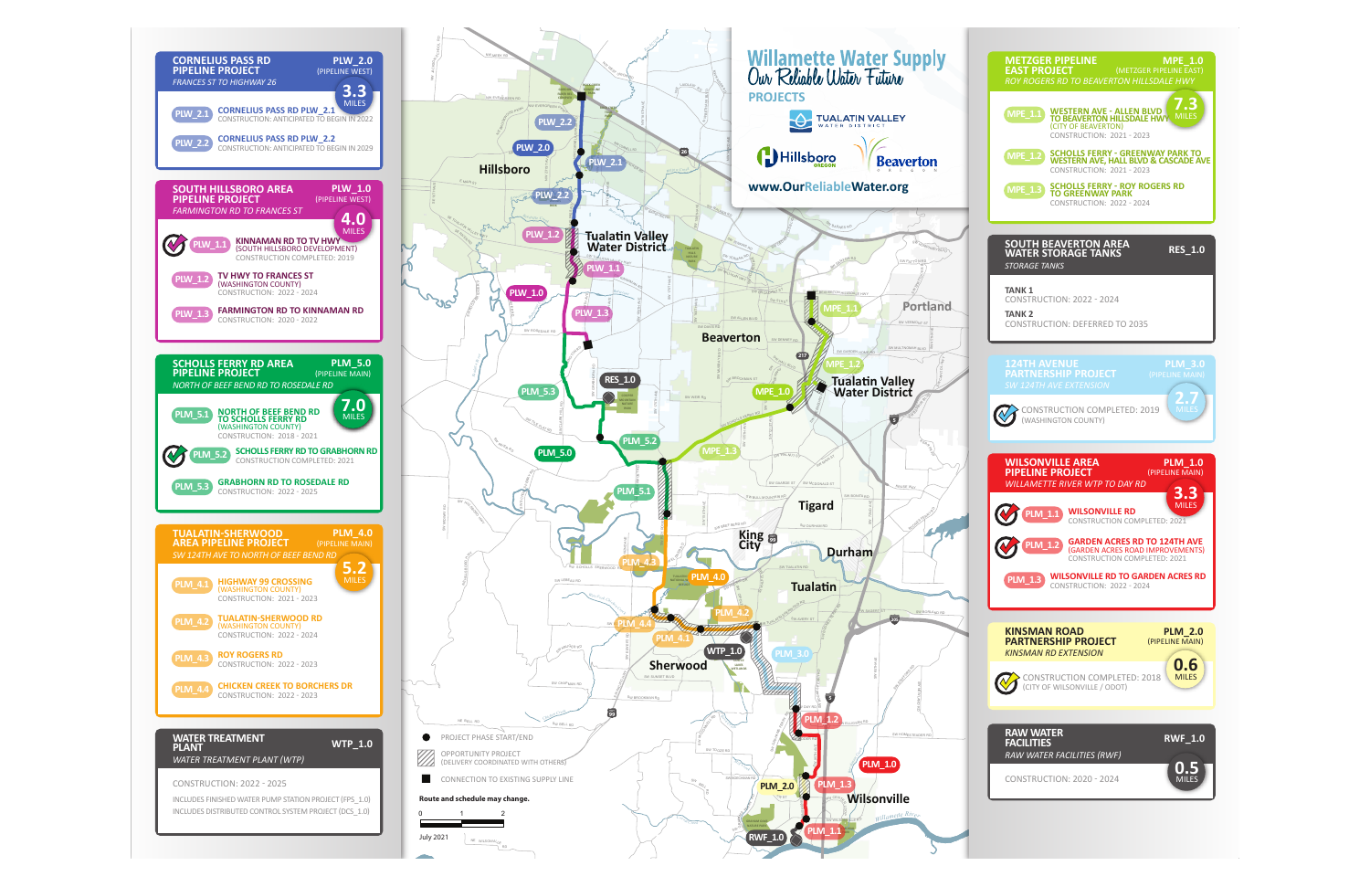